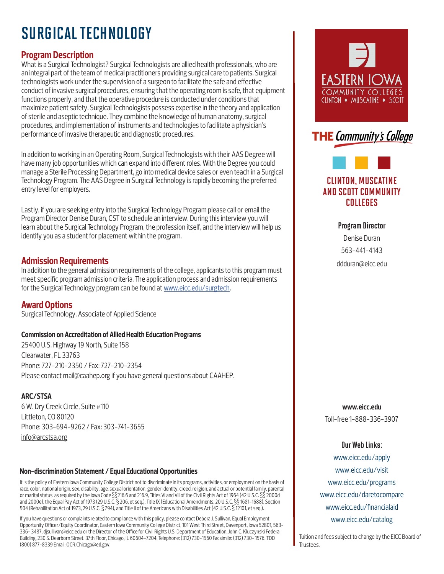# SURGICAL TECHNOLOGY

# **Program Description**

What is a Surgical Technologist? Surgical Technologists are allied health professionals, who are an integral part of the team of medical practitioners providing surgical care to patients. Surgical technologists work under the supervision of a surgeon to facilitate the safe and effective conduct of invasive surgical procedures, ensuring that the operating room is safe, that equipment functions properly, and that the operative procedure is conducted under conditions that maximize patient safety. Surgical Technologists possess expertise in the theory and application of sterile and aseptic technique. They combine the knowledge of human anatomy, surgical procedures, and implementation of instruments and technologies to facilitate a physician's performance of invasive therapeutic and diagnostic procedures.

In addition to working in an Operating Room, Surgical Technologists with their AAS Degree will have many job opportunities which can expand into different roles. With the Degree you could manage a Sterile Processing Department, go into medical device sales or even teach in a Surgical Technology Program. The AAS Degree in Surgical Technology is rapidly becoming the preferred entry level for employers.

Lastly, if you are seeking entry into the Surgical Technology Program please call or email the Program Director Denise Duran, CST to schedule an interview. During this interview you will learn about the Surgical Technology Program, the profession itself, and the interview will help us identify you as a student for placement within the program.

### **Admission Requirements**

In addition to the general admission requirements of the college, applicants to this program must meet specific program admission criteria. The application process and admission requirements for the Surgical Technology program can be found at www.eicc.edu/surgtech.

# **Award Options**

Surgical Technology, Associate of Applied Science

#### **Commission on Accreditation of Allied Health Education Programs**

25400 U.S. Highway 19 North, Suite 158 Clearwater, FL 33763 Phone: 727-210-2350 / Fax: 727-210-2354 Please contact mail@caahep.org if you have general questions about CAAHEP.

#### **ARC/STSA**

6 W. Dry Creek Circle, Suite #110 Littleton, CO 80120 Phone: 303-694-9262 / Fax: 303-741-3655 info@arcstsa.org

#### **Non-discrimination Statement / Equal Educational Opportunities**

It is the policy of Eastern Iowa Community College District not to discriminate in its programs, activities, or employment on the basis of race, color, national origin, sex, disability, age, sexual orientation, gender identity, creed, religion, and actual or potential family, parental or marital status, as required by the Iowa Code §§216.6 and 216.9, Titles VI and VII of the Civil Rights Act of 1964 (42 U.S.C. §§ 2000d and 2000e), the Equal Pay Act of 1973 (29 U.S.C. § 206, et seq.), Title IX (Educational Amendments, 20 U.S.C. §§ 1681-1688), Section 504 (Rehabilitation Act of 1973, 29 U.S.C. § 794), and Title II of the Americans with Disabilities Act (42 U.S.C. § 12101, et seq.).

If you have questions or complaints related to compliance with this policy, please contact Debora J. Sullivan, Equal Employment Opportunity Officer/Equity Coordinator, Eastern Iowa Community College District, 101 West Third Street, Davenport, Iowa 52801, 563- 336- 3487, djsullivan@eicc.edu or the Director of the Office for Civil Rights U.S. Department of Education, John C. Kluczynski Federal Building, 230 S. Dearborn Street, 37th Floor, Chicago, IL 60604-7204, Telephone: (312) 730-1560 Facsimile: (312) 730- 1576, TDD (800) 877-8339 Email: OCR.Chicago@ed.gov.





# CLINTON, MUSCATINE AND SCOTT COMMUNITY COLLEGES

Program Director Denise Duran 563-441-4143 ddduran@eicc.edu

**www.eicc.edu**

Toll-free 1-888-336-3907

#### Our Web Links:

www.eicc.edu/apply www.eicc.edu/visit www.eicc.edu/programs www.eicc.edu/daretocompare www.eicc.edu/financialaid www.eicc.edu/catalog

Tuition and fees subject to change by the EICC Board of Trustees.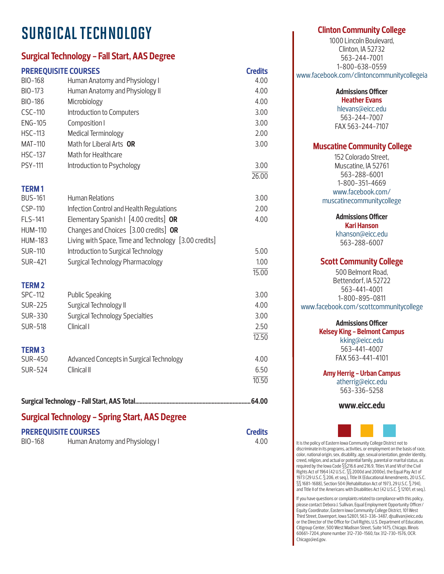# SURGICAL TECHNOLOGY

# **Surgical Technology - Fall Start, AAS Degree**

| <b>PREREQUISITE COURSES</b> |                                                       | <b>Credits</b>     |  |  |
|-----------------------------|-------------------------------------------------------|--------------------|--|--|
| BIO-168                     | Human Anatomy and Physiology I                        | 4.00               |  |  |
| BIO-173                     | Human Anatomy and Physiology II                       | 4.00               |  |  |
| BIO-186                     | Microbiology                                          | 4.00               |  |  |
| CSC-110                     | Introduction to Computers                             | 3.00               |  |  |
| <b>ENG-105</b>              | Composition I                                         | 3.00               |  |  |
| <b>HSC-113</b>              | Medical Terminology                                   | 2.00               |  |  |
| <b>MAT-110</b>              | Math for Liberal Arts OR                              | 3.00               |  |  |
| <b>HSC-137</b>              | Math for Healthcare                                   |                    |  |  |
| PSY-111                     | Introduction to Psychology                            | 3.00               |  |  |
|                             |                                                       | $\overline{26.00}$ |  |  |
| <b>TERM1</b>                |                                                       |                    |  |  |
| <b>BUS-161</b>              | <b>Human Relations</b>                                | 3.00               |  |  |
| CSP-110                     | Infection Control and Health Regulations              | 2.00               |  |  |
| FLS-141                     | Elementary Spanish   [4.00 credits] OR                | 4.00               |  |  |
| <b>HUM-110</b>              | Changes and Choices [3.00 credits] OR                 |                    |  |  |
| <b>HUM-183</b>              | Living with Space, Time and Technology [3.00 credits] |                    |  |  |
| <b>SUR-110</b>              | Introduction to Surgical Technology                   | 5.00               |  |  |
| <b>SUR-421</b>              | Surgical Technology Pharmacology                      | 1.00               |  |  |
|                             |                                                       | 15.00              |  |  |
| <b>TERM2</b>                |                                                       |                    |  |  |
| <b>SPC-112</b>              | <b>Public Speaking</b>                                | 3.00               |  |  |
| <b>SUR-225</b>              | Surgical Technology II                                | 4.00               |  |  |
| SUR-330                     | <b>Surgical Technology Specialties</b>                | 3.00               |  |  |
| <b>SUR-518</b>              | Clinical I                                            | 2.50               |  |  |
|                             |                                                       | 12.50              |  |  |
| <b>TERM3</b>                |                                                       |                    |  |  |
| <b>SUR-450</b>              | Advanced Concepts in Surgical Technology              | 4.00               |  |  |
| <b>SUR-524</b>              | Clinical II                                           | 6.50               |  |  |
|                             |                                                       | 10.50              |  |  |
|                             |                                                       |                    |  |  |
|                             |                                                       |                    |  |  |

# **Surgical Technology - Spring Start, AAS Degree**

| <b>PREREQUISITE COURSES</b> |                                | <b>Credits</b> |
|-----------------------------|--------------------------------|----------------|
| BIO-168                     | Human Anatomy and Physiology I | 4.00           |

## **Clinton Community College**

1000 Lincoln Boulevard, Clinton, IA 52732 563-244-7001 1-800-638-0559 www.facebook.com/clintoncommunitycollegeia

> **Admissions Officer Heather Evans**

hlevans@eicc.edu 563-244-7007 FAX 563-244-7107

## **Muscatine Community College**

152 Colorado Street, Muscatine, IA 52761 563-288-6001 1-800-351-4669 www.facebook.com/ muscatinecommunitycollege

**Admissions Officer**

**Kari Hanson** khanson@eicc.edu 563-288-6007

## **Scott Community College**

500 Belmont Road, Bettendorf, IA 52722 563-441-4001 1-800-895-0811 www.facebook.com/scottcommunitycollege

#### **Admissions Officer**

**Kelsey King - Belmont Campus** kking@eicc.edu 563-441-4007 FAX 563-441-4101

**Amy Herrig - Urban Campus**

atherrig@eicc.edu 563-336-5258

**www.eicc.edu**



It is the policy of Eastern Iowa Community College District not to discriminate in its programs, activities, or employment on the basis of race, color, national origin, sex, disability, age, sexual orientation, gender identity, creed, religion, and actual or potential family, parental or marital status, as required by the Iowa Code §§216.6 and 216.9, Titles VI and VII of the Civil Rights Act of 1964 (42 U.S.C. §§ 2000d and 2000e), the Equal Pay Act of 1973 (29 U.S.C. § 206, et seq.), Title IX (Educational Amendments, 20 U.S.C. §§ 1681-1688), Section 504 (Rehabilitation Act of 1973, 29 U.S.C. § 794), and Title II of the Americans with Disabilities Act (42 U.S.C. § 12101, et seq.).

If you have questions or complaints related to compliance with this policy, please contact Debora J. Sullivan, Equal Employment Opportunity Officer/ Equity Coordinator, Eastern Iowa Community College District, 101 West Third Street, Davenport, Iowa 52801, 563-336-3487, djsullivan@eicc.edu or the Director of the Office for Civil Rights, U.S. Department of Education, Citigroup Center, 500 West Madison Street, Suite 1475, Chicago, Illinois 60661-7204, phone number 312-730-1560, fax 312-730-1576, OCR. Chicago@ed.gov.